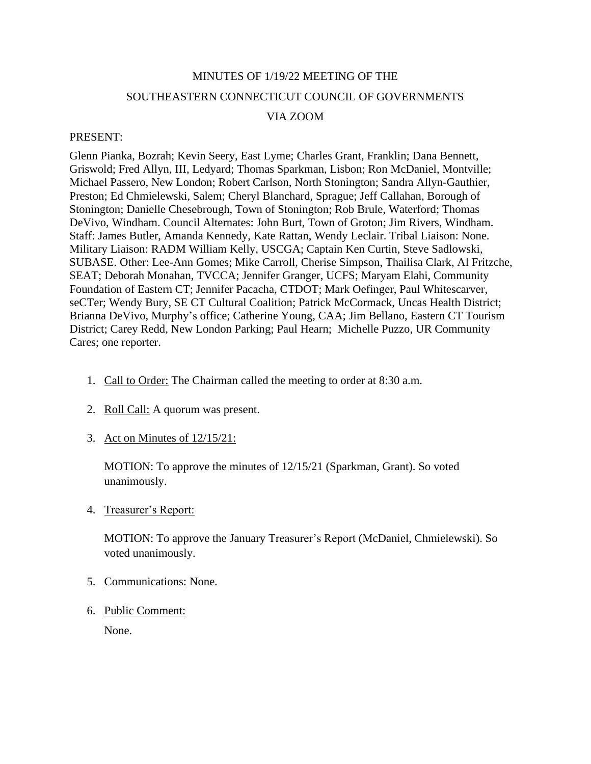# MINUTES OF 1/19/22 MEETING OF THE SOUTHEASTERN CONNECTICUT COUNCIL OF GOVERNMENTS

# VIA ZOOM

#### PRESENT:

Glenn Pianka, Bozrah; Kevin Seery, East Lyme; Charles Grant, Franklin; Dana Bennett, Griswold; Fred Allyn, III, Ledyard; Thomas Sparkman, Lisbon; Ron McDaniel, Montville; Michael Passero, New London; Robert Carlson, North Stonington; Sandra Allyn-Gauthier, Preston; Ed Chmielewski, Salem; Cheryl Blanchard, Sprague; Jeff Callahan, Borough of Stonington; Danielle Chesebrough, Town of Stonington; Rob Brule, Waterford; Thomas DeVivo, Windham. Council Alternates: John Burt, Town of Groton; Jim Rivers, Windham. Staff: James Butler, Amanda Kennedy, Kate Rattan, Wendy Leclair. Tribal Liaison: None. Military Liaison: RADM William Kelly, USCGA; Captain Ken Curtin, Steve Sadlowski, SUBASE. Other: Lee-Ann Gomes; Mike Carroll, Cherise Simpson, Thailisa Clark, Al Fritzche, SEAT; Deborah Monahan, TVCCA; Jennifer Granger, UCFS; Maryam Elahi, Community Foundation of Eastern CT; Jennifer Pacacha, CTDOT; Mark Oefinger, Paul Whitescarver, seCTer; Wendy Bury, SE CT Cultural Coalition; Patrick McCormack, Uncas Health District; Brianna DeVivo, Murphy's office; Catherine Young, CAA; Jim Bellano, Eastern CT Tourism District; Carey Redd, New London Parking; Paul Hearn; Michelle Puzzo, UR Community Cares; one reporter.

- 1. Call to Order: The Chairman called the meeting to order at 8:30 a.m.
- 2. Roll Call: A quorum was present.
- 3. Act on Minutes of 12/15/21:

MOTION: To approve the minutes of 12/15/21 (Sparkman, Grant). So voted unanimously.

4. Treasurer's Report:

MOTION: To approve the January Treasurer's Report (McDaniel, Chmielewski). So voted unanimously.

- 5. Communications: None.
- 6. Public Comment:

None.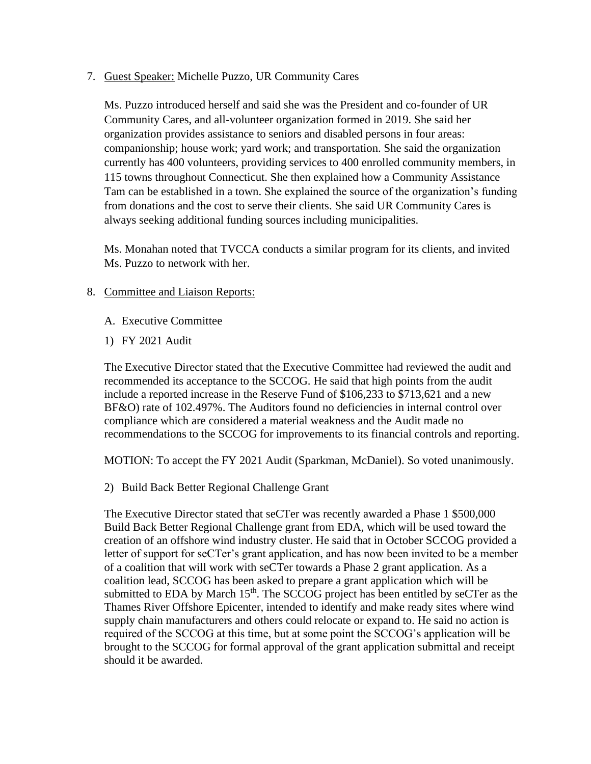7. Guest Speaker: Michelle Puzzo, UR Community Cares

Ms. Puzzo introduced herself and said she was the President and co-founder of UR Community Cares, and all-volunteer organization formed in 2019. She said her organization provides assistance to seniors and disabled persons in four areas: companionship; house work; yard work; and transportation. She said the organization currently has 400 volunteers, providing services to 400 enrolled community members, in 115 towns throughout Connecticut. She then explained how a Community Assistance Tam can be established in a town. She explained the source of the organization's funding from donations and the cost to serve their clients. She said UR Community Cares is always seeking additional funding sources including municipalities.

Ms. Monahan noted that TVCCA conducts a similar program for its clients, and invited Ms. Puzzo to network with her.

## 8. Committee and Liaison Reports:

- A. Executive Committee
- 1) FY 2021 Audit

The Executive Director stated that the Executive Committee had reviewed the audit and recommended its acceptance to the SCCOG. He said that high points from the audit include a reported increase in the Reserve Fund of \$106,233 to \$713,621 and a new BF&O) rate of 102.497%. The Auditors found no deficiencies in internal control over compliance which are considered a material weakness and the Audit made no recommendations to the SCCOG for improvements to its financial controls and reporting.

MOTION: To accept the FY 2021 Audit (Sparkman, McDaniel). So voted unanimously.

2) Build Back Better Regional Challenge Grant

The Executive Director stated that seCTer was recently awarded a Phase 1 \$500,000 Build Back Better Regional Challenge grant from EDA, which will be used toward the creation of an offshore wind industry cluster. He said that in October SCCOG provided a letter of support for seCTer's grant application, and has now been invited to be a member of a coalition that will work with seCTer towards a Phase 2 grant application. As a coalition lead, SCCOG has been asked to prepare a grant application which will be submitted to EDA by March  $15<sup>th</sup>$ . The SCCOG project has been entitled by seCTer as the Thames River Offshore Epicenter, intended to identify and make ready sites where wind supply chain manufacturers and others could relocate or expand to. He said no action is required of the SCCOG at this time, but at some point the SCCOG's application will be brought to the SCCOG for formal approval of the grant application submittal and receipt should it be awarded.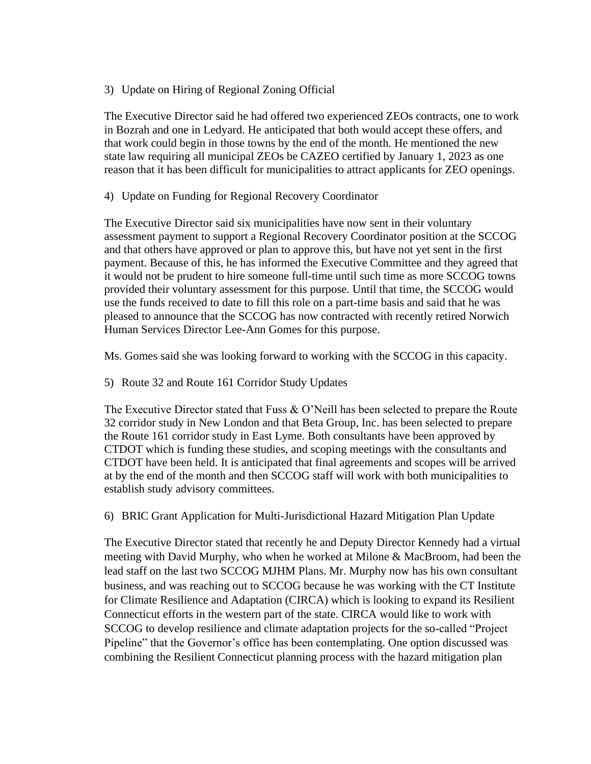# 3) Update on Hiring of Regional Zoning Official

The Executive Director said he had offered two experienced ZEOs contracts, one to work in Bozrah and one in Ledyard. He anticipated that both would accept these offers, and that work could begin in those towns by the end of the month. He mentioned the new state law requiring all municipal ZEOs be CAZEO certified by January 1, 2023 as one reason that it has been difficult for municipalities to attract applicants for ZEO openings.

## 4) Update on Funding for Regional Recovery Coordinator

The Executive Director said six municipalities have now sent in their voluntary assessment payment to support a Regional Recovery Coordinator position at the SCCOG and that others have approved or plan to approve this, but have not yet sent in the first payment. Because of this, he has informed the Executive Committee and they agreed that it would not be prudent to hire someone full-time until such time as more SCCOG towns provided their voluntary assessment for this purpose. Until that time, the SCCOG would use the funds received to date to fill this role on a part-time basis and said that he was pleased to announce that the SCCOG has now contracted with recently retired Norwich Human Services Director Lee-Ann Gomes for this purpose.

Ms. Gomes said she was looking forward to working with the SCCOG in this capacity.

5) Route 32 and Route 161 Corridor Study Updates

The Executive Director stated that Fuss & O'Neill has been selected to prepare the Route 32 corridor study in New London and that Beta Group, Inc. has been selected to prepare the Route 161 corridor study in East Lyme. Both consultants have been approved by CTDOT which is funding these studies, and scoping meetings with the consultants and CTDOT have been held. It is anticipated that final agreements and scopes will be arrived at by the end of the month and then SCCOG staff will work with both municipalities to establish study advisory committees.

6) BRIC Grant Application for Multi-Jurisdictional Hazard Mitigation Plan Update

The Executive Director stated that recently he and Deputy Director Kennedy had a virtual meeting with David Murphy, who when he worked at Milone & MacBroom, had been the lead staff on the last two SCCOG MJHM Plans. Mr. Murphy now has his own consultant business, and was reaching out to SCCOG because he was working with the CT Institute for Climate Resilience and Adaptation (CIRCA) which is looking to expand its Resilient Connecticut efforts in the western part of the state. CIRCA would like to work with SCCOG to develop resilience and climate adaptation projects for the so-called "Project Pipeline" that the Governor's office has been contemplating. One option discussed was combining the Resilient Connecticut planning process with the hazard mitigation plan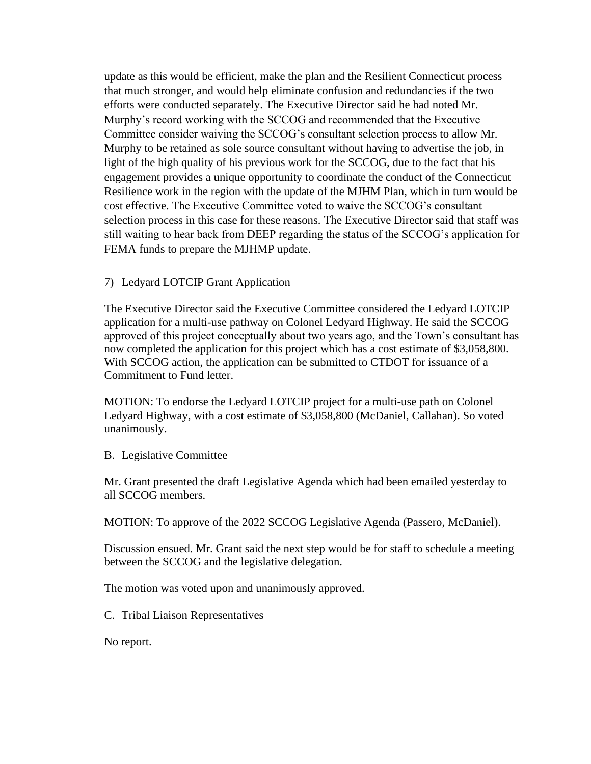update as this would be efficient, make the plan and the Resilient Connecticut process that much stronger, and would help eliminate confusion and redundancies if the two efforts were conducted separately. The Executive Director said he had noted Mr. Murphy's record working with the SCCOG and recommended that the Executive Committee consider waiving the SCCOG's consultant selection process to allow Mr. Murphy to be retained as sole source consultant without having to advertise the job, in light of the high quality of his previous work for the SCCOG, due to the fact that his engagement provides a unique opportunity to coordinate the conduct of the Connecticut Resilience work in the region with the update of the MJHM Plan, which in turn would be cost effective. The Executive Committee voted to waive the SCCOG's consultant selection process in this case for these reasons. The Executive Director said that staff was still waiting to hear back from DEEP regarding the status of the SCCOG's application for FEMA funds to prepare the MJHMP update.

## 7) Ledyard LOTCIP Grant Application

The Executive Director said the Executive Committee considered the Ledyard LOTCIP application for a multi-use pathway on Colonel Ledyard Highway. He said the SCCOG approved of this project conceptually about two years ago, and the Town's consultant has now completed the application for this project which has a cost estimate of \$3,058,800. With SCCOG action, the application can be submitted to CTDOT for issuance of a Commitment to Fund letter.

MOTION: To endorse the Ledyard LOTCIP project for a multi-use path on Colonel Ledyard Highway, with a cost estimate of \$3,058,800 (McDaniel, Callahan). So voted unanimously.

#### B. Legislative Committee

Mr. Grant presented the draft Legislative Agenda which had been emailed yesterday to all SCCOG members.

MOTION: To approve of the 2022 SCCOG Legislative Agenda (Passero, McDaniel).

Discussion ensued. Mr. Grant said the next step would be for staff to schedule a meeting between the SCCOG and the legislative delegation.

The motion was voted upon and unanimously approved.

C. Tribal Liaison Representatives

No report.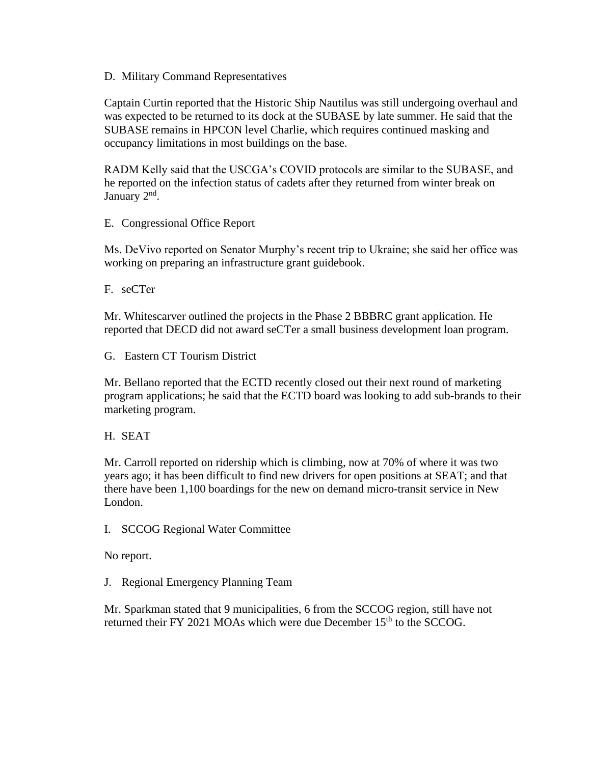D. Military Command Representatives

Captain Curtin reported that the Historic Ship Nautilus was still undergoing overhaul and was expected to be returned to its dock at the SUBASE by late summer. He said that the SUBASE remains in HPCON level Charlie, which requires continued masking and occupancy limitations in most buildings on the base.

RADM Kelly said that the USCGA's COVID protocols are similar to the SUBASE, and he reported on the infection status of cadets after they returned from winter break on January 2<sup>nd</sup>.

E. Congressional Office Report

Ms. DeVivo reported on Senator Murphy's recent trip to Ukraine; she said her office was working on preparing an infrastructure grant guidebook.

F. seCTer

Mr. Whitescarver outlined the projects in the Phase 2 BBBRC grant application. He reported that DECD did not award seCTer a small business development loan program.

G. Eastern CT Tourism District

Mr. Bellano reported that the ECTD recently closed out their next round of marketing program applications; he said that the ECTD board was looking to add sub-brands to their marketing program.

H. SEAT

Mr. Carroll reported on ridership which is climbing, now at 70% of where it was two years ago; it has been difficult to find new drivers for open positions at SEAT; and that there have been 1,100 boardings for the new on demand micro-transit service in New London.

I. SCCOG Regional Water Committee

No report.

J. Regional Emergency Planning Team

Mr. Sparkman stated that 9 municipalities, 6 from the SCCOG region, still have not returned their FY 2021 MOAs which were due December 15<sup>th</sup> to the SCCOG.